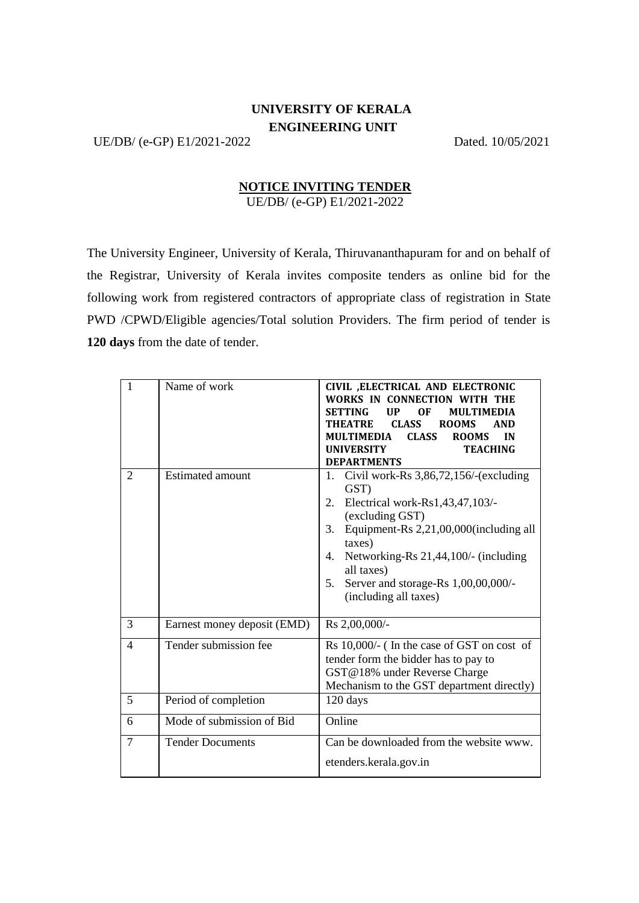## **UNIVERSITY OF KERALA ENGINEERING UNIT**

UE/DB/ (e-GP) E1/2021-2022 Dated. 10/05/2021

## **NOTICE INVITING TENDER** UE/DB/ (e-GP) E1/2021-2022

The University Engineer, University of Kerala, Thiruvananthapuram for and on behalf of the Registrar, University of Kerala invites composite tenders as online bid for the following work from registered contractors of appropriate class of registration in State PWD /CPWD/Eligible agencies/Total solution Providers. The firm period of tender is **120 days** from the date of tender.

| $\mathbf{1}$   | Name of work                | CIVIL , ELECTRICAL AND ELECTRONIC<br>WORKS IN CONNECTION WITH THE<br><b>SETTING</b><br><b>MULTIMEDIA</b><br>UP<br>0F<br><b>THEATRE</b><br><b>CLASS</b><br><b>ROOMS</b><br><b>AND</b><br>MULTIMEDIA<br><b>CLASS</b><br><b>ROOMS</b><br>IN<br><b>TEACHING</b><br><b>UNIVERSITY</b><br><b>DEPARTMENTS</b>         |
|----------------|-----------------------------|----------------------------------------------------------------------------------------------------------------------------------------------------------------------------------------------------------------------------------------------------------------------------------------------------------------|
| $\overline{c}$ | <b>Estimated amount</b>     | Civil work-Rs $3,86,72,156$ /-(excluding<br>1.<br>GST)<br>Electrical work-Rs1,43,47,103/-<br>2.<br>(excluding GST)<br>Equipment-Rs 2,21,00,000(including all<br>3.<br>taxes)<br>Networking-Rs 21,44,100/- (including<br>4.<br>all taxes)<br>Server and storage-Rs 1,00,00,000/-<br>5.<br>(including all taxes) |
| 3              | Earnest money deposit (EMD) | Rs 2,00,000/-                                                                                                                                                                                                                                                                                                  |
| 4              | Tender submission fee       | Rs 10,000/- (In the case of GST on cost of<br>tender form the bidder has to pay to<br>GST@18% under Reverse Charge<br>Mechanism to the GST department directly)                                                                                                                                                |
| 5              | Period of completion        | 120 days                                                                                                                                                                                                                                                                                                       |
| 6              | Mode of submission of Bid   | Online                                                                                                                                                                                                                                                                                                         |
| $\tau$         | <b>Tender Documents</b>     | Can be downloaded from the website www.<br>etenders.kerala.gov.in                                                                                                                                                                                                                                              |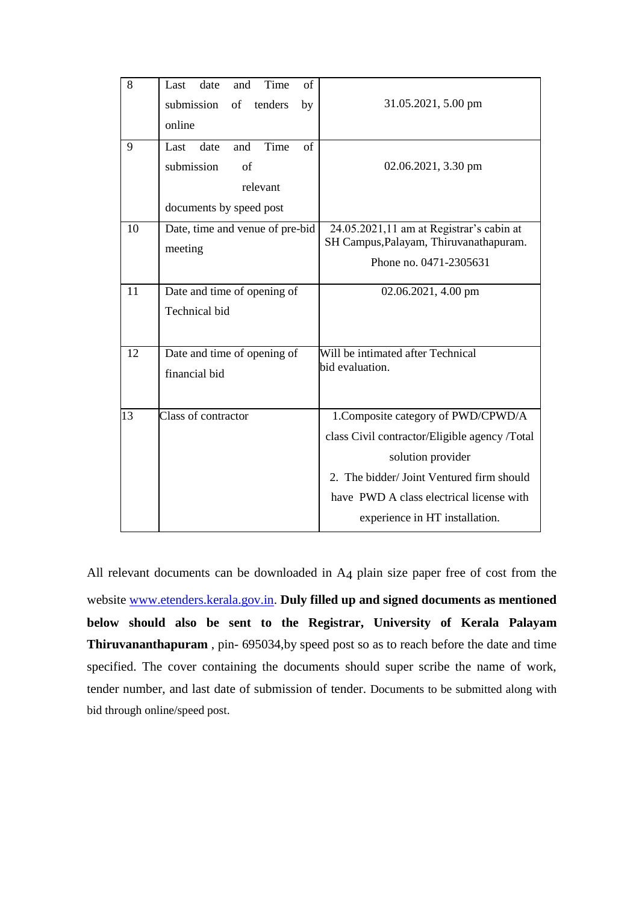| 8  | Last<br>date<br>Time<br>of<br>and      |                                                                                    |
|----|----------------------------------------|------------------------------------------------------------------------------------|
|    | submission<br>of<br>tenders<br>by      | 31.05.2021, 5.00 pm                                                                |
|    | online                                 |                                                                                    |
| 9  | Time<br>$\sigma$ f<br>Last date<br>and |                                                                                    |
|    | submission<br>of                       | 02.06.2021, 3.30 pm                                                                |
|    | relevant                               |                                                                                    |
|    | documents by speed post                |                                                                                    |
| 10 | Date, time and venue of pre-bid        | 24.05.2021,11 am at Registrar's cabin at<br>SH Campus, Palayam, Thiruvanathapuram. |
|    | meeting                                | Phone no. 0471-2305631                                                             |
| 11 | Date and time of opening of            | 02.06.2021, 4.00 pm                                                                |
|    | Technical bid                          |                                                                                    |
| 12 | Date and time of opening of            | Will be intimated after Technical                                                  |
|    | financial bid                          | bid evaluation.                                                                    |
|    |                                        |                                                                                    |
| 13 | Class of contractor                    | 1. Composite category of PWD/CPWD/A                                                |
|    |                                        | class Civil contractor/Eligible agency /Total                                      |
|    |                                        | solution provider                                                                  |
|    |                                        | 2. The bidder/Joint Ventured firm should                                           |
|    |                                        | have PWD A class electrical license with                                           |
|    |                                        | experience in HT installation.                                                     |

All relevant documents can be downloaded in A4 plain size paper free of cost from the website [www.etenders.kerala.gov.in.](http://www.etenders.kerala.gov.in/) **Duly filled up and signed documents as mentioned below should also be sent to the Registrar, University of Kerala Palayam Thiruvananthapuram** , pin- 695034,by speed post so as to reach before the date and time specified. The cover containing the documents should super scribe the name of work, tender number, and last date of submission of tender. Documents to be submitted along with bid through online/speed post.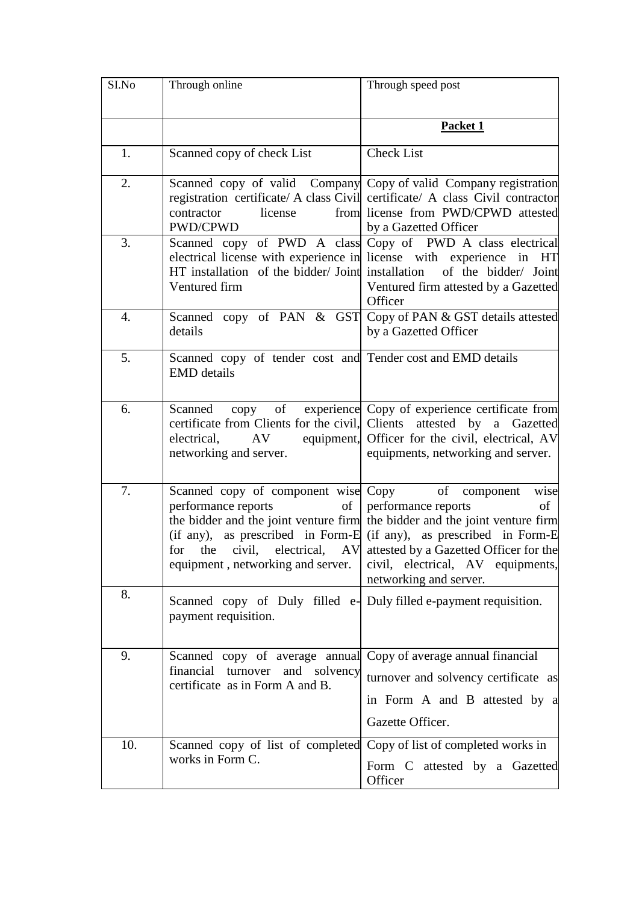| SI.No | Through online                                                                                                                        | Through speed post                                                                                                                                                                                                                                                                                                             |
|-------|---------------------------------------------------------------------------------------------------------------------------------------|--------------------------------------------------------------------------------------------------------------------------------------------------------------------------------------------------------------------------------------------------------------------------------------------------------------------------------|
|       |                                                                                                                                       | Packet 1                                                                                                                                                                                                                                                                                                                       |
| 1.    | Scanned copy of check List                                                                                                            | <b>Check List</b>                                                                                                                                                                                                                                                                                                              |
| 2.    | contractor<br>license<br>PWD/CPWD                                                                                                     | Scanned copy of valid Company Copy of valid Company registration<br>registration certificate/ A class Civil certificate/ A class Civil contractor<br>from license from PWD/CPWD attested<br>by a Gazetted Officer                                                                                                              |
| 3.    | Ventured firm                                                                                                                         | Scanned copy of PWD A class Copy of PWD A class electrical<br>electrical license with experience in license with experience in HT<br>HT installation of the bidder/Joint installation of the bidder/Joint<br>Ventured firm attested by a Gazetted<br>Officer                                                                   |
| 4.    | details                                                                                                                               | Scanned copy of PAN & GST Copy of PAN & GST details attested<br>by a Gazetted Officer                                                                                                                                                                                                                                          |
| 5.    | Scanned copy of tender cost and Tender cost and EMD details<br><b>EMD</b> details                                                     |                                                                                                                                                                                                                                                                                                                                |
| 6.    | Scanned<br>certificate from Clients for the civil, Clients attested by<br>electrical, AV<br>networking and server.                    | copy of experience Copy of experience certificate from<br>a Gazetted<br>equipment, Officer for the civil, electrical, AV<br>equipments, networking and server.                                                                                                                                                                 |
| 7.    | Scanned copy of component wise Copy of component<br>performance reports<br>of<br>equipment, networking and server.                    | wise<br>performance reports<br>of<br>the bidder and the joint venture firm the bidder and the joint venture firm<br>(if any), as prescribed in Form-E (if any), as prescribed in Form-E<br>for the civil, electrical, AV attested by a Gazetted Officer for the<br>civil, electrical, AV equipments,<br>networking and server. |
| 8.    | Scanned copy of Duly filled e- Duly filled e-payment requisition.<br>payment requisition.                                             |                                                                                                                                                                                                                                                                                                                                |
| 9.    | Scanned copy of average annual Copy of average annual financial<br>financial turnover and solvency<br>certificate as in Form A and B. | turnover and solvency certificate as<br>in Form A and B attested by a<br>Gazette Officer.                                                                                                                                                                                                                                      |
| 10.   | Scanned copy of list of completed Copy of list of completed works in<br>works in Form C.                                              | Form C attested by a Gazetted<br>Officer                                                                                                                                                                                                                                                                                       |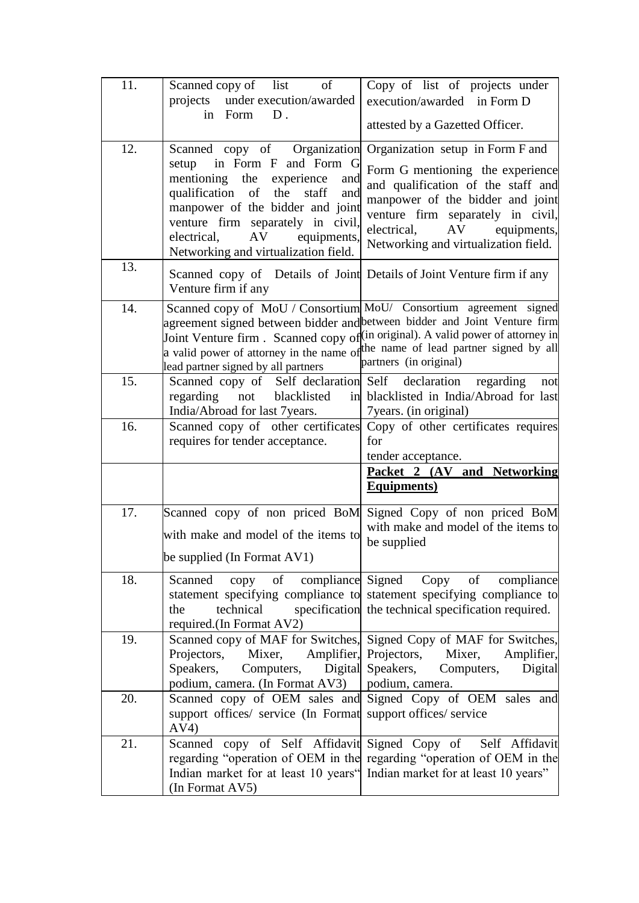| 11. | of<br>Scanned copy of list<br>projects under execution/awarded<br>in Form<br>$D$ .                                                                                                                                                                                                                                              | Copy of list of projects under<br>execution/awarded in Form D<br>attested by a Gazetted Officer.                                                                                                                                                                            |
|-----|---------------------------------------------------------------------------------------------------------------------------------------------------------------------------------------------------------------------------------------------------------------------------------------------------------------------------------|-----------------------------------------------------------------------------------------------------------------------------------------------------------------------------------------------------------------------------------------------------------------------------|
| 12. | Scanned copy of Organization Organization setup in Form F and<br>setup in Form F and Form G<br>mentioning the experience<br>and<br>qualification<br>of the<br>staff<br>and<br>manpower of the bidder and joint<br>venture firm separately in civil,<br>AV<br>equipments,<br>electrical,<br>Networking and virtualization field. | Form G mentioning the experience<br>and qualification of the staff and<br>manpower of the bidder and joint<br>venture firm separately in civil,<br>electrical, AV equipments,<br>Networking and virtualization field.                                                       |
| 13. | Scanned copy of Details of Joint Details of Joint Venture firm if any<br>Venture firm if any                                                                                                                                                                                                                                    |                                                                                                                                                                                                                                                                             |
| 14. | agreement signed between bidder and between bidder and Joint Venture firm<br>lead partner signed by all partners                                                                                                                                                                                                                | Scanned copy of MoU / Consortium MoU/ Consortium agreement signed<br>Joint Venture firm. Scanned copy of $(\text{in original})$ . A valid power of attorney in<br>a valid power of attorney in the name of the name of lead partner signed by all<br>partners (in original) |
| 15. | Scanned copy of Self declaration Self declaration regarding<br>regarding<br>not blacklisted<br>India/Abroad for last 7years.                                                                                                                                                                                                    | not<br>in blacklisted in India/Abroad for last<br>7 years. (in original)                                                                                                                                                                                                    |
| 16. | requires for tender acceptance.                                                                                                                                                                                                                                                                                                 | Scanned copy of other certificates Copy of other certificates requires<br>for<br>tender acceptance.<br>Packet 2 (AV and Networking                                                                                                                                          |
|     |                                                                                                                                                                                                                                                                                                                                 | <b>Equipments</b> )                                                                                                                                                                                                                                                         |
| 17. | Scanned copy of non priced BoM Signed Copy of non priced BoM<br>with make and model of the items to<br>be supplied (In Format $AV1$ )                                                                                                                                                                                           | with make and model of the items to<br>be supplied                                                                                                                                                                                                                          |
| 18. | Scanned<br>technical<br>the<br>required.(In Format AV2)                                                                                                                                                                                                                                                                         | copy of compliance Signed Copy of<br>compliance<br>statement specifying compliance to statement specifying compliance to<br>specification the technical specification required.                                                                                             |
| 19. | Projectors,<br>Mixer, Amplifier, Projectors,<br>Computers,<br>Speakers,<br>podium, camera. (In Format AV3)                                                                                                                                                                                                                      | Scanned copy of MAF for Switches, Signed Copy of MAF for Switches,<br>Mixer,<br>Amplifier,<br>Digital Speakers,<br>Computers,<br>Digital<br>podium, camera.                                                                                                                 |
| 20. | support offices/ service (In Format support offices/ service<br>AV4)                                                                                                                                                                                                                                                            | Scanned copy of OEM sales and Signed Copy of OEM sales and                                                                                                                                                                                                                  |
| 21. | Indian market for at least 10 years" Indian market for at least 10 years"<br>(In Format AV5)                                                                                                                                                                                                                                    | Scanned copy of Self Affidavit Signed Copy of Self Affidavit<br>regarding "operation of OEM in the regarding "operation of OEM in the                                                                                                                                       |